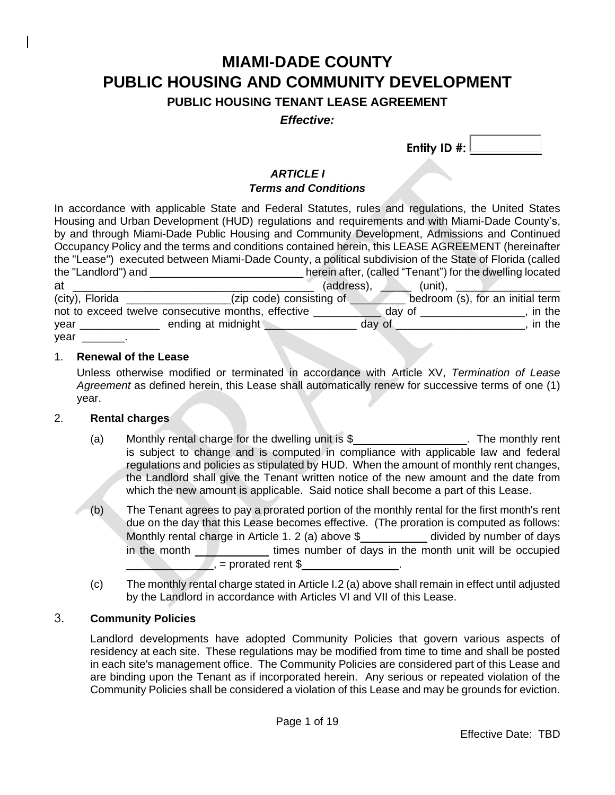# **MIAMI-DADE COUNTY PUBLIC HOUSING AND COMMUNITY DEVELOPMENT**

**PUBLIC HOUSING TENANT LEASE AGREEMENT**

*Effective:* 

 **Entity ID #:** 

# *ARTICLE I*

### *Terms and Conditions*

In accordance with applicable State and Federal Statutes, rules and regulations, the United States Housing and Urban Development (HUD) regulations and requirements and with Miami-Dade County's, by and through Miami-Dade Public Housing and Community Development, Admissions and Continued Occupancy Policy and the terms and conditions contained herein, this LEASE AGREEMENT (hereinafter the "Lease") executed between Miami-Dade County, a political subdivision of the State of Florida (called the "Landlord") and \_\_\_\_\_\_\_\_\_\_\_\_\_\_\_\_\_\_\_\_\_\_\_\_\_ herein after, (called "Tenant") for the dwelling located at \_\_\_\_\_\_\_\_\_\_\_\_\_\_\_\_\_\_\_\_\_\_\_\_\_\_\_\_\_\_\_\_\_\_\_\_ (address), \_\_\_\_\_ (unit), \_\_\_\_\_\_\_\_\_\_\_\_\_\_\_\_\_ (city), Florida \_\_\_\_\_\_\_\_\_\_\_\_\_\_\_\_\_(zip code) consisting of \_\_\_\_\_\_\_\_\_ bedroom (s), for an initial term not to exceed twelve consecutive months, effective \_\_\_\_\_\_\_\_\_\_\_ day of \_\_\_\_\_\_\_\_\_\_\_\_\_\_\_\_\_, in the year \_\_\_\_\_\_\_\_\_\_\_\_\_\_\_\_\_\_\_ ending at midnight \_\_\_\_\_\_\_\_\_\_\_\_\_\_\_\_\_\_\_\_\_\_\_\_ day of \_\_\_\_\_\_\_\_\_\_\_\_\_\_\_\_\_\_\_\_\_\_\_, in the year \_\_\_\_\_\_\_\_.

#### 1. **Renewal of the Lease**

Unless otherwise modified or terminated in accordance with Article XV, *Termination of Lease Agreement* as defined herein, this Lease shall automatically renew for successive terms of one (1) year.

#### 2. **Rental charges**

- (a) Monthly rental charge for the dwelling unit is \$\_\_\_\_\_\_\_\_\_\_\_\_\_\_\_\_\_. The monthly rent is subject to change and is computed in compliance with applicable law and federal regulations and policies as stipulated by HUD. When the amount of monthly rent changes, the Landlord shall give the Tenant written notice of the new amount and the date from which the new amount is applicable. Said notice shall become a part of this Lease.
- (b) The Tenant agrees to pay a prorated portion of the monthly rental for the first month's rent due on the day that this Lease becomes effective. (The proration is computed as follows: Monthly rental charge in Article 1. 2 (a) above \$\_\_\_\_\_\_\_\_\_\_ divided by number of days in the month **times number of days in the month unit will be occupied**  $\sqrt{1}$ , = prorated rent \$
- (c) The monthly rental charge stated in Article I.2 (a) above shall remain in effect until adjusted by the Landlord in accordance with Articles VI and VII of this Lease.

### 3. **Community Policies**

Landlord developments have adopted Community Policies that govern various aspects of residency at each site. These regulations may be modified from time to time and shall be posted in each site's management office. The Community Policies are considered part of this Lease and are binding upon the Tenant as if incorporated herein. Any serious or repeated violation of the Community Policies shall be considered a violation of this Lease and may be grounds for eviction.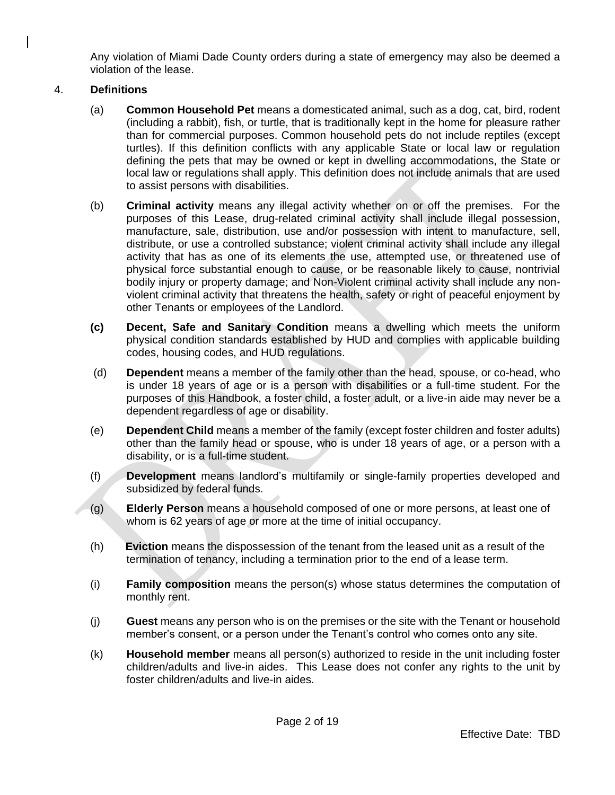Any violation of Miami Dade County orders during a state of emergency may also be deemed a violation of the lease.

### 4. **Definitions**

- (a) **Common Household Pet** means a domesticated animal, such as a dog, cat, bird, rodent (including a rabbit), fish, or turtle, that is traditionally kept in the home for pleasure rather than for commercial purposes. Common household pets do not include reptiles (except turtles). If this definition conflicts with any applicable State or local law or regulation defining the pets that may be owned or kept in dwelling accommodations, the State or local law or regulations shall apply. This definition does not include animals that are used to assist persons with disabilities.
- (b) **Criminal activity** means any illegal activity whether on or off the premises. For the purposes of this Lease, drug-related criminal activity shall include illegal possession, manufacture, sale, distribution, use and/or possession with intent to manufacture, sell, distribute, or use a controlled substance; violent criminal activity shall include any illegal activity that has as one of its elements the use, attempted use, or threatened use of physical force substantial enough to cause, or be reasonable likely to cause, nontrivial bodily injury or property damage; and Non-Violent criminal activity shall include any nonviolent criminal activity that threatens the health, safety or right of peaceful enjoyment by other Tenants or employees of the Landlord.
- **(c) Decent, Safe and Sanitary Condition** means a dwelling which meets the uniform physical condition standards established by HUD and complies with applicable building codes, housing codes, and HUD regulations.
- (d) **Dependent** means a member of the family other than the head, spouse, or co-head, who is under 18 years of age or is a person with disabilities or a full-time student. For the purposes of this Handbook, a foster child, a foster adult, or a live-in aide may never be a dependent regardless of age or disability.
- (e) **Dependent Child** means a member of the family (except foster children and foster adults) other than the family head or spouse, who is under 18 years of age, or a person with a disability, or is a full-time student.
- (f) **Development** means landlord's multifamily or single-family properties developed and subsidized by federal funds.
- (g) **Elderly Person** means a household composed of one or more persons, at least one of whom is 62 years of age or more at the time of initial occupancy.
- (h) **Eviction** means the dispossession of the tenant from the leased unit as a result of the termination of tenancy, including a termination prior to the end of a lease term.
- (i) **Family composition** means the person(s) whose status determines the computation of monthly rent.
- (j) **Guest** means any person who is on the premises or the site with the Tenant or household member's consent, or a person under the Tenant's control who comes onto any site.
- (k) **Household member** means all person(s) authorized to reside in the unit including foster children/adults and live-in aides. This Lease does not confer any rights to the unit by foster children/adults and live-in aides.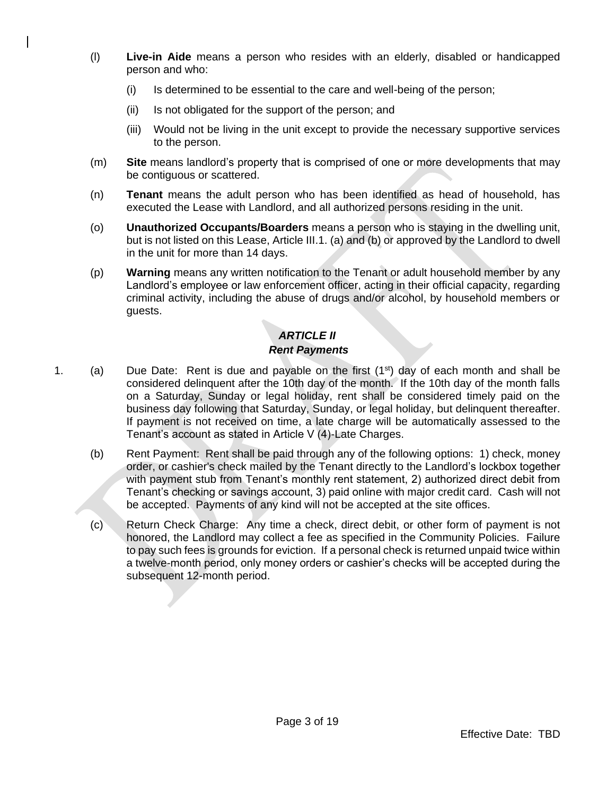- (l) **Live-in Aide** means a person who resides with an elderly, disabled or handicapped person and who:
	- (i) Is determined to be essential to the care and well-being of the person;
	- (ii) Is not obligated for the support of the person; and
	- (iii) Would not be living in the unit except to provide the necessary supportive services to the person.
- (m) **Site** means landlord's property that is comprised of one or more developments that may be contiguous or scattered.
- (n) **Tenant** means the adult person who has been identified as head of household, has executed the Lease with Landlord, and all authorized persons residing in the unit.
- (o) **Unauthorized Occupants/Boarders** means a person who is staying in the dwelling unit, but is not listed on this Lease, Article III.1. (a) and (b) or approved by the Landlord to dwell in the unit for more than 14 days.
- (p) **Warning** means any written notification to the Tenant or adult household member by any Landlord's employee or law enforcement officer, acting in their official capacity, regarding criminal activity, including the abuse of drugs and/or alcohol, by household members or guests.

# *ARTICLE II Rent Payments*

- 1. (a) Due Date: Rent is due and payable on the first  $(1^{st})$  day of each month and shall be considered delinquent after the 10th day of the month. If the 10th day of the month falls on a Saturday, Sunday or legal holiday, rent shall be considered timely paid on the business day following that Saturday, Sunday, or legal holiday, but delinquent thereafter. If payment is not received on time, a late charge will be automatically assessed to the Tenant's account as stated in Article V (4)-Late Charges.
	- (b) Rent Payment: Rent shall be paid through any of the following options: 1) check, money order, or cashier's check mailed by the Tenant directly to the Landlord's lockbox together with payment stub from Tenant's monthly rent statement, 2) authorized direct debit from Tenant's checking or savings account, 3) paid online with major credit card. Cash will not be accepted. Payments of any kind will not be accepted at the site offices.
	- (c) Return Check Charge: Any time a check, direct debit, or other form of payment is not honored, the Landlord may collect a fee as specified in the Community Policies. Failure to pay such fees is grounds for eviction. If a personal check is returned unpaid twice within a twelve-month period, only money orders or cashier's checks will be accepted during the subsequent 12-month period.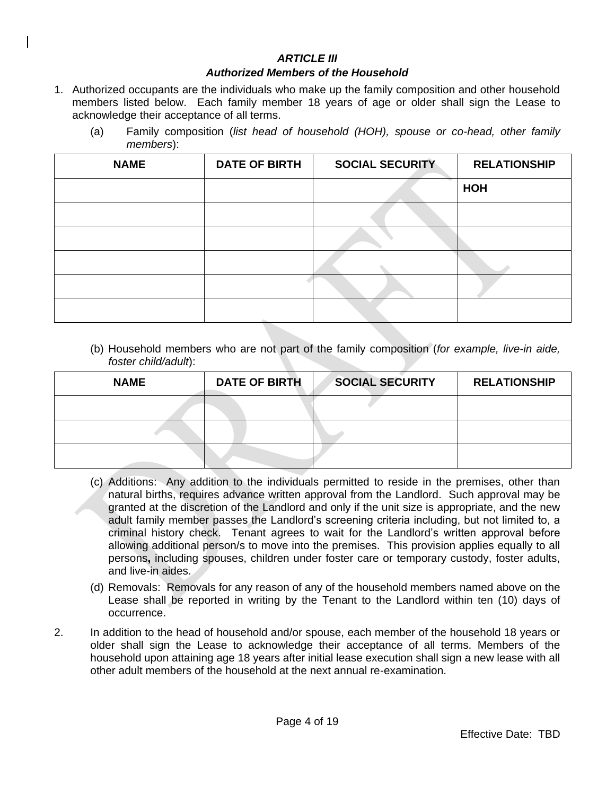### *ARTICLE III*

#### *Authorized Members of the Household*

- 1. Authorized occupants are the individuals who make up the family composition and other household members listed below. Each family member 18 years of age or older shall sign the Lease to acknowledge their acceptance of all terms.
	- (a) Family composition (*list head of household (HOH), spouse or co-head, other family members*):

| <b>NAME</b> | <b>DATE OF BIRTH</b> | <b>SOCIAL SECURITY</b> | <b>RELATIONSHIP</b> |
|-------------|----------------------|------------------------|---------------------|
|             |                      |                        | HOH                 |
|             |                      |                        |                     |
|             |                      |                        |                     |
|             |                      |                        |                     |
|             |                      |                        |                     |
|             |                      |                        |                     |

(b) Household members who are not part of the family composition (*for example, live-in aide, foster child/adult*):

| <b>NAME</b> | <b>DATE OF BIRTH</b> | <b>SOCIAL SECURITY</b> | <b>RELATIONSHIP</b> |
|-------------|----------------------|------------------------|---------------------|
|             |                      |                        |                     |
|             |                      |                        |                     |
|             |                      |                        |                     |

- (c) Additions: Any addition to the individuals permitted to reside in the premises, other than natural births, requires advance written approval from the Landlord. Such approval may be granted at the discretion of the Landlord and only if the unit size is appropriate, and the new adult family member passes the Landlord's screening criteria including, but not limited to, a criminal history check. Tenant agrees to wait for the Landlord's written approval before allowing additional person/s to move into the premises. This provision applies equally to all persons**,** including spouses, children under foster care or temporary custody, foster adults, and live-in aides.
- (d) Removals: Removals for any reason of any of the household members named above on the Lease shall be reported in writing by the Tenant to the Landlord within ten (10) days of occurrence.
- 2. In addition to the head of household and/or spouse, each member of the household 18 years or older shall sign the Lease to acknowledge their acceptance of all terms. Members of the household upon attaining age 18 years after initial lease execution shall sign a new lease with all other adult members of the household at the next annual re-examination.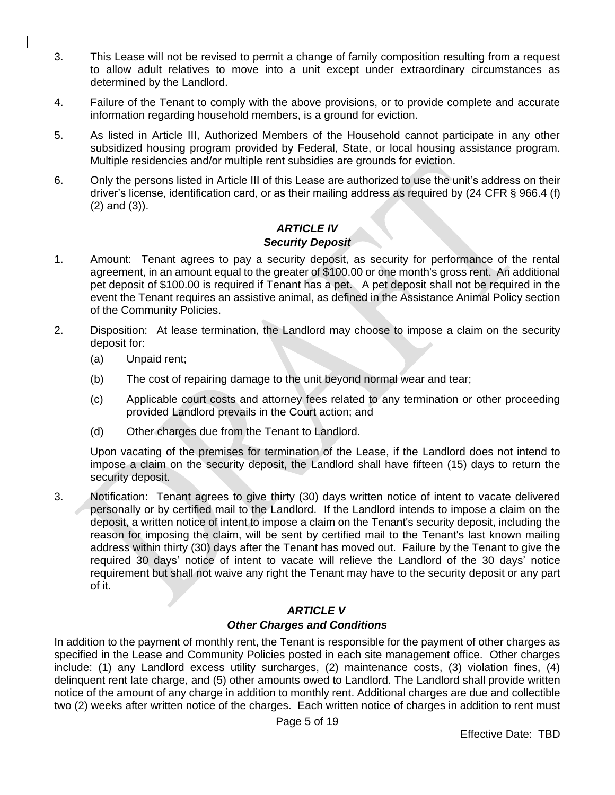- 3. This Lease will not be revised to permit a change of family composition resulting from a request to allow adult relatives to move into a unit except under extraordinary circumstances as determined by the Landlord.
- 4. Failure of the Tenant to comply with the above provisions, or to provide complete and accurate information regarding household members, is a ground for eviction.
- 5. As listed in Article III, Authorized Members of the Household cannot participate in any other subsidized housing program provided by Federal, State, or local housing assistance program. Multiple residencies and/or multiple rent subsidies are grounds for eviction.
- 6. Only the persons listed in Article III of this Lease are authorized to use the unit's address on their driver's license, identification card, or as their mailing address as required by (24 CFR § 966.4 (f) (2) and (3)).

### *ARTICLE IV Security Deposit*

- 1. Amount: Tenant agrees to pay a security deposit, as security for performance of the rental agreement, in an amount equal to the greater of \$100.00 or one month's gross rent. An additional pet deposit of \$100.00 is required if Tenant has a pet. A pet deposit shall not be required in the event the Tenant requires an assistive animal, as defined in the Assistance Animal Policy section of the Community Policies.
- 2. Disposition: At lease termination, the Landlord may choose to impose a claim on the security deposit for:
	- (a) Unpaid rent;
	- (b) The cost of repairing damage to the unit beyond normal wear and tear;
	- (c) Applicable court costs and attorney fees related to any termination or other proceeding provided Landlord prevails in the Court action; and
	- (d) Other charges due from the Tenant to Landlord.

Upon vacating of the premises for termination of the Lease, if the Landlord does not intend to impose a claim on the security deposit, the Landlord shall have fifteen (15) days to return the security deposit.

3. Notification: Tenant agrees to give thirty (30) days written notice of intent to vacate delivered personally or by certified mail to the Landlord. If the Landlord intends to impose a claim on the deposit, a written notice of intent to impose a claim on the Tenant's security deposit, including the reason for imposing the claim, will be sent by certified mail to the Tenant's last known mailing address within thirty (30) days after the Tenant has moved out. Failure by the Tenant to give the required 30 days' notice of intent to vacate will relieve the Landlord of the 30 days' notice requirement but shall not waive any right the Tenant may have to the security deposit or any part of it.

### *ARTICLE V*

#### *Other Charges and Conditions*

In addition to the payment of monthly rent, the Tenant is responsible for the payment of other charges as specified in the Lease and Community Policies posted in each site management office. Other charges include: (1) any Landlord excess utility surcharges, (2) maintenance costs, (3) violation fines, (4) delinquent rent late charge, and (5) other amounts owed to Landlord. The Landlord shall provide written notice of the amount of any charge in addition to monthly rent. Additional charges are due and collectible two (2) weeks after written notice of the charges. Each written notice of charges in addition to rent must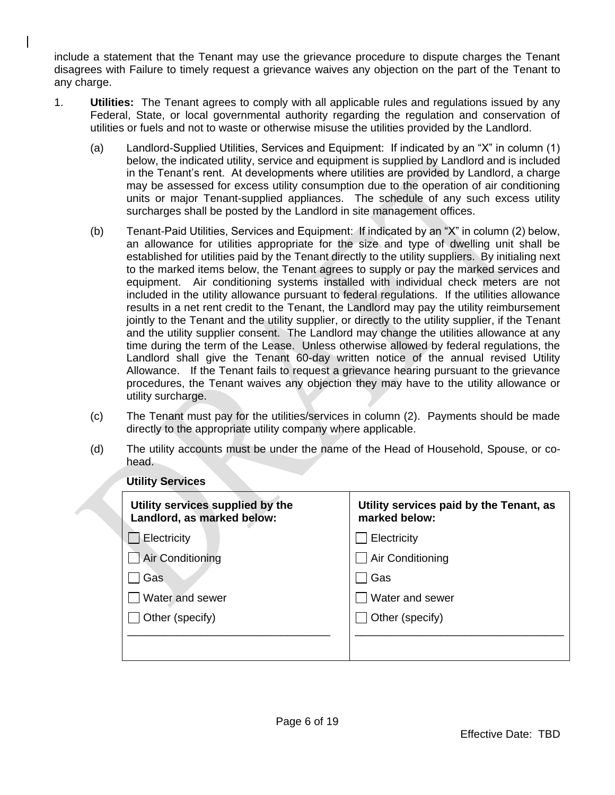include a statement that the Tenant may use the grievance procedure to dispute charges the Tenant disagrees with Failure to timely request a grievance waives any objection on the part of the Tenant to any charge.

- 1. **Utilities:** The Tenant agrees to comply with all applicable rules and regulations issued by any Federal, State, or local governmental authority regarding the regulation and conservation of utilities or fuels and not to waste or otherwise misuse the utilities provided by the Landlord.
	- (a) Landlord-Supplied Utilities, Services and Equipment: If indicated by an "X" in column (1) below, the indicated utility, service and equipment is supplied by Landlord and is included in the Tenant's rent. At developments where utilities are provided by Landlord, a charge may be assessed for excess utility consumption due to the operation of air conditioning units or major Tenant-supplied appliances. The schedule of any such excess utility surcharges shall be posted by the Landlord in site management offices.
	- (b) Tenant-Paid Utilities, Services and Equipment: If indicated by an "X" in column (2) below, an allowance for utilities appropriate for the size and type of dwelling unit shall be established for utilities paid by the Tenant directly to the utility suppliers. By initialing next to the marked items below, the Tenant agrees to supply or pay the marked services and equipment. Air conditioning systems installed with individual check meters are not included in the utility allowance pursuant to federal regulations. If the utilities allowance results in a net rent credit to the Tenant, the Landlord may pay the utility reimbursement jointly to the Tenant and the utility supplier, or directly to the utility supplier, if the Tenant and the utility supplier consent. The Landlord may change the utilities allowance at any time during the term of the Lease. Unless otherwise allowed by federal regulations, the Landlord shall give the Tenant 60-day written notice of the annual revised Utility Allowance. If the Tenant fails to request a grievance hearing pursuant to the grievance procedures, the Tenant waives any objection they may have to the utility allowance or utility surcharge.
	- (c) The Tenant must pay for the utilities/services in column (2). Payments should be made directly to the appropriate utility company where applicable.
	- (d) The utility accounts must be under the name of the Head of Household, Spouse, or cohead.

| Utility services supplied by the<br>Landlord, as marked below: | Utility services paid by the Tenant, as<br>marked below: |
|----------------------------------------------------------------|----------------------------------------------------------|
| Electricity                                                    | Electricity                                              |
| <b>Air Conditioning</b>                                        | Air Conditioning                                         |
| Gas                                                            | Gas                                                      |
| Water and sewer                                                | Water and sewer                                          |
| Other (specify)                                                | Other (specify)                                          |
|                                                                |                                                          |
|                                                                |                                                          |

### **Utility Services**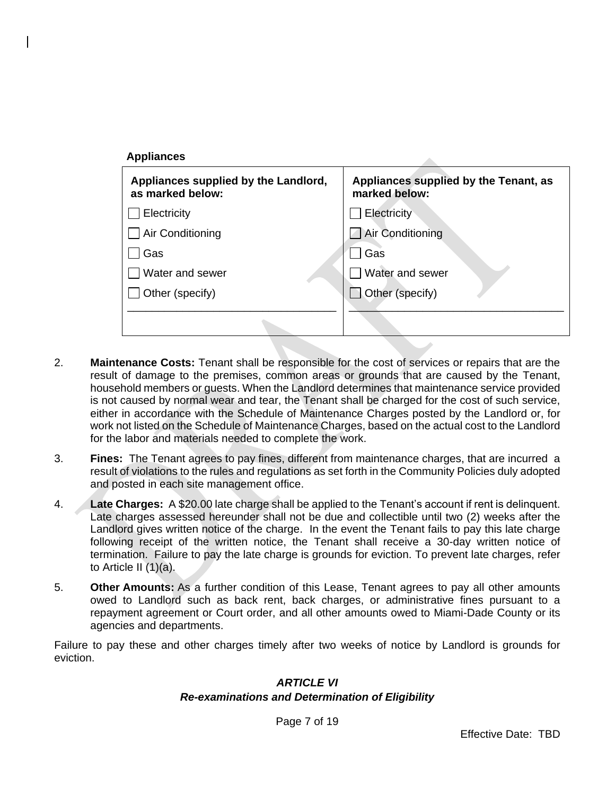| <b>Appliances</b>                                        |                                                        |
|----------------------------------------------------------|--------------------------------------------------------|
| Appliances supplied by the Landlord,<br>as marked below: | Appliances supplied by the Tenant, as<br>marked below: |
| Electricity                                              | Electricity                                            |
| Air Conditioning                                         | Air Conditioning                                       |
| Gas                                                      | Gas                                                    |
| Water and sewer                                          | Water and sewer                                        |
| Other (specify)                                          | Other (specify)                                        |
|                                                          |                                                        |

- 2. **Maintenance Costs:** Tenant shall be responsible for the cost of services or repairs that are the result of damage to the premises, common areas or grounds that are caused by the Tenant, household members or guests. When the Landlord determines that maintenance service provided is not caused by normal wear and tear, the Tenant shall be charged for the cost of such service, either in accordance with the Schedule of Maintenance Charges posted by the Landlord or, for work not listed on the Schedule of Maintenance Charges, based on the actual cost to the Landlord for the labor and materials needed to complete the work.
- 3. **Fines:** The Tenant agrees to pay fines, different from maintenance charges, that are incurred a result of violations to the rules and regulations as set forth in the Community Policies duly adopted and posted in each site management office.
- 4. **Late Charges:** A \$20.00 late charge shall be applied to the Tenant's account if rent is delinquent. Late charges assessed hereunder shall not be due and collectible until two (2) weeks after the Landlord gives written notice of the charge. In the event the Tenant fails to pay this late charge following receipt of the written notice, the Tenant shall receive a 30-day written notice of termination. Failure to pay the late charge is grounds for eviction. To prevent late charges, refer to Article II (1)(a).
- 5. **Other Amounts:** As a further condition of this Lease, Tenant agrees to pay all other amounts owed to Landlord such as back rent, back charges, or administrative fines pursuant to a repayment agreement or Court order, and all other amounts owed to Miami-Dade County or its agencies and departments.

Failure to pay these and other charges timely after two weeks of notice by Landlord is grounds for eviction.

#### *ARTICLE VI*

#### *Re-examinations and Determination of Eligibility*

Page 7 of 19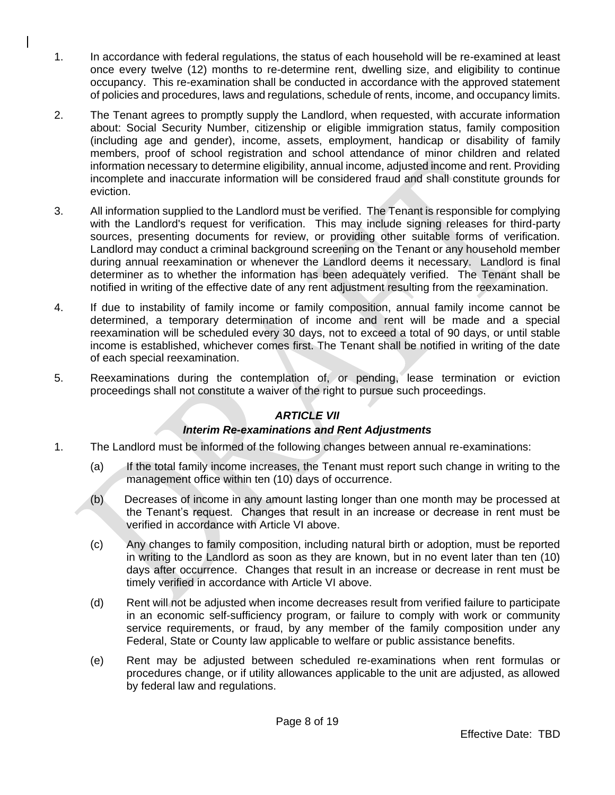- 1. In accordance with federal regulations, the status of each household will be re-examined at least once every twelve (12) months to re-determine rent, dwelling size, and eligibility to continue occupancy. This re-examination shall be conducted in accordance with the approved statement of policies and procedures, laws and regulations, schedule of rents, income, and occupancy limits.
- 2. The Tenant agrees to promptly supply the Landlord, when requested, with accurate information about: Social Security Number, citizenship or eligible immigration status, family composition (including age and gender), income, assets, employment, handicap or disability of family members, proof of school registration and school attendance of minor children and related information necessary to determine eligibility, annual income, adjusted income and rent. Providing incomplete and inaccurate information will be considered fraud and shall constitute grounds for eviction.
- 3. All information supplied to the Landlord must be verified. The Tenant is responsible for complying with the Landlord's request for verification. This may include signing releases for third-party sources, presenting documents for review, or providing other suitable forms of verification. Landlord may conduct a criminal background screening on the Tenant or any household member during annual reexamination or whenever the Landlord deems it necessary. Landlord is final determiner as to whether the information has been adequately verified. The Tenant shall be notified in writing of the effective date of any rent adjustment resulting from the reexamination.
- 4. If due to instability of family income or family composition, annual family income cannot be determined, a temporary determination of income and rent will be made and a special reexamination will be scheduled every 30 days, not to exceed a total of 90 days, or until stable income is established, whichever comes first. The Tenant shall be notified in writing of the date of each special reexamination.
- 5. Reexaminations during the contemplation of, or pending, lease termination or eviction proceedings shall not constitute a waiver of the right to pursue such proceedings.

### *ARTICLE VII*

### *Interim Re-examinations and Rent Adjustments*

- 1. The Landlord must be informed of the following changes between annual re-examinations:
	- (a) If the total family income increases, the Tenant must report such change in writing to the management office within ten (10) days of occurrence.
	- (b) Decreases of income in any amount lasting longer than one month may be processed at the Tenant's request. Changes that result in an increase or decrease in rent must be verified in accordance with Article VI above.
	- (c) Any changes to family composition, including natural birth or adoption, must be reported in writing to the Landlord as soon as they are known, but in no event later than ten (10) days after occurrence. Changes that result in an increase or decrease in rent must be timely verified in accordance with Article VI above.
	- (d) Rent will not be adjusted when income decreases result from verified failure to participate in an economic self-sufficiency program, or failure to comply with work or community service requirements, or fraud, by any member of the family composition under any Federal, State or County law applicable to welfare or public assistance benefits.
	- (e) Rent may be adjusted between scheduled re-examinations when rent formulas or procedures change, or if utility allowances applicable to the unit are adjusted, as allowed by federal law and regulations.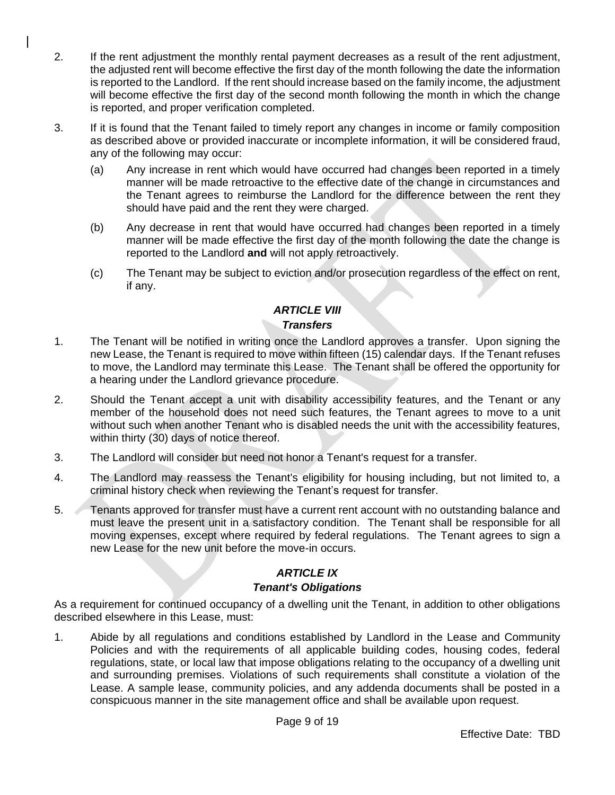- 2. If the rent adjustment the monthly rental payment decreases as a result of the rent adjustment, the adjusted rent will become effective the first day of the month following the date the information is reported to the Landlord. If the rent should increase based on the family income, the adjustment will become effective the first day of the second month following the month in which the change is reported, and proper verification completed.
- 3. If it is found that the Tenant failed to timely report any changes in income or family composition as described above or provided inaccurate or incomplete information, it will be considered fraud, any of the following may occur:
	- (a) Any increase in rent which would have occurred had changes been reported in a timely manner will be made retroactive to the effective date of the change in circumstances and the Tenant agrees to reimburse the Landlord for the difference between the rent they should have paid and the rent they were charged.
	- (b) Any decrease in rent that would have occurred had changes been reported in a timely manner will be made effective the first day of the month following the date the change is reported to the Landlord **and** will not apply retroactively.
	- (c) The Tenant may be subject to eviction and/or prosecution regardless of the effect on rent, if any.

#### *ARTICLE VIII Transfers*

- 1. The Tenant will be notified in writing once the Landlord approves a transfer. Upon signing the new Lease, the Tenant is required to move within fifteen (15) calendar days. If the Tenant refuses to move, the Landlord may terminate this Lease. The Tenant shall be offered the opportunity for a hearing under the Landlord grievance procedure.
- 2. Should the Tenant accept a unit with disability accessibility features, and the Tenant or any member of the household does not need such features, the Tenant agrees to move to a unit without such when another Tenant who is disabled needs the unit with the accessibility features, within thirty (30) days of notice thereof.
- 3. The Landlord will consider but need not honor a Tenant's request for a transfer.
- 4. The Landlord may reassess the Tenant's eligibility for housing including, but not limited to, a criminal history check when reviewing the Tenant's request for transfer.
- 5. Tenants approved for transfer must have a current rent account with no outstanding balance and must leave the present unit in a satisfactory condition. The Tenant shall be responsible for all moving expenses, except where required by federal regulations. The Tenant agrees to sign a new Lease for the new unit before the move-in occurs.

# *ARTICLE IX*

# *Tenant's Obligations*

As a requirement for continued occupancy of a dwelling unit the Tenant, in addition to other obligations described elsewhere in this Lease, must:

1. Abide by all regulations and conditions established by Landlord in the Lease and Community Policies and with the requirements of all applicable building codes, housing codes, federal regulations, state, or local law that impose obligations relating to the occupancy of a dwelling unit and surrounding premises. Violations of such requirements shall constitute a violation of the Lease. A sample lease, community policies, and any addenda documents shall be posted in a conspicuous manner in the site management office and shall be available upon request.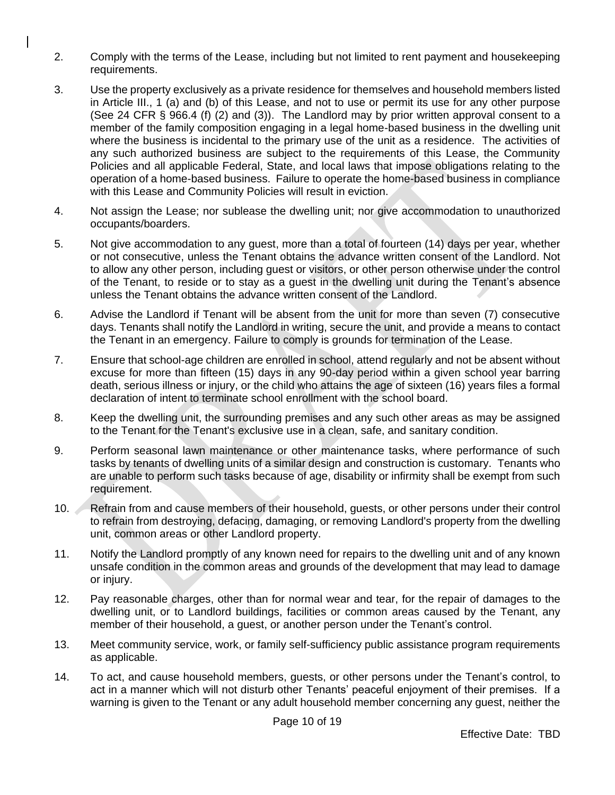- 2. Comply with the terms of the Lease, including but not limited to rent payment and housekeeping requirements.
- 3. Use the property exclusively as a private residence for themselves and household members listed in Article III., 1 (a) and (b) of this Lease, and not to use or permit its use for any other purpose (See 24 CFR § 966.4 (f) (2) and (3)). The Landlord may by prior written approval consent to a member of the family composition engaging in a legal home-based business in the dwelling unit where the business is incidental to the primary use of the unit as a residence. The activities of any such authorized business are subject to the requirements of this Lease, the Community Policies and all applicable Federal, State, and local laws that impose obligations relating to the operation of a home-based business. Failure to operate the home-based business in compliance with this Lease and Community Policies will result in eviction.
- 4. Not assign the Lease; nor sublease the dwelling unit; nor give accommodation to unauthorized occupants/boarders.
- 5. Not give accommodation to any guest, more than a total of fourteen (14) days per year, whether or not consecutive, unless the Tenant obtains the advance written consent of the Landlord. Not to allow any other person, including guest or visitors, or other person otherwise under the control of the Tenant, to reside or to stay as a guest in the dwelling unit during the Tenant's absence unless the Tenant obtains the advance written consent of the Landlord.
- 6. Advise the Landlord if Tenant will be absent from the unit for more than seven (7) consecutive days. Tenants shall notify the Landlord in writing, secure the unit, and provide a means to contact the Tenant in an emergency. Failure to comply is grounds for termination of the Lease.
- 7. Ensure that school-age children are enrolled in school, attend regularly and not be absent without excuse for more than fifteen (15) days in any 90-day period within a given school year barring death, serious illness or injury, or the child who attains the age of sixteen (16) years files a formal declaration of intent to terminate school enrollment with the school board.
- 8. Keep the dwelling unit, the surrounding premises and any such other areas as may be assigned to the Tenant for the Tenant's exclusive use in a clean, safe, and sanitary condition.
- 9. Perform seasonal lawn maintenance or other maintenance tasks, where performance of such tasks by tenants of dwelling units of a similar design and construction is customary. Tenants who are unable to perform such tasks because of age, disability or infirmity shall be exempt from such requirement.
- 10. Refrain from and cause members of their household, guests, or other persons under their control to refrain from destroying, defacing, damaging, or removing Landlord's property from the dwelling unit, common areas or other Landlord property.
- 11. Notify the Landlord promptly of any known need for repairs to the dwelling unit and of any known unsafe condition in the common areas and grounds of the development that may lead to damage or injury.
- 12. Pay reasonable charges, other than for normal wear and tear, for the repair of damages to the dwelling unit, or to Landlord buildings, facilities or common areas caused by the Tenant, any member of their household, a guest, or another person under the Tenant's control.
- 13. Meet community service, work, or family self-sufficiency public assistance program requirements as applicable.
- 14. To act, and cause household members, guests, or other persons under the Tenant's control, to act in a manner which will not disturb other Tenants' peaceful enjoyment of their premises. If a warning is given to the Tenant or any adult household member concerning any guest, neither the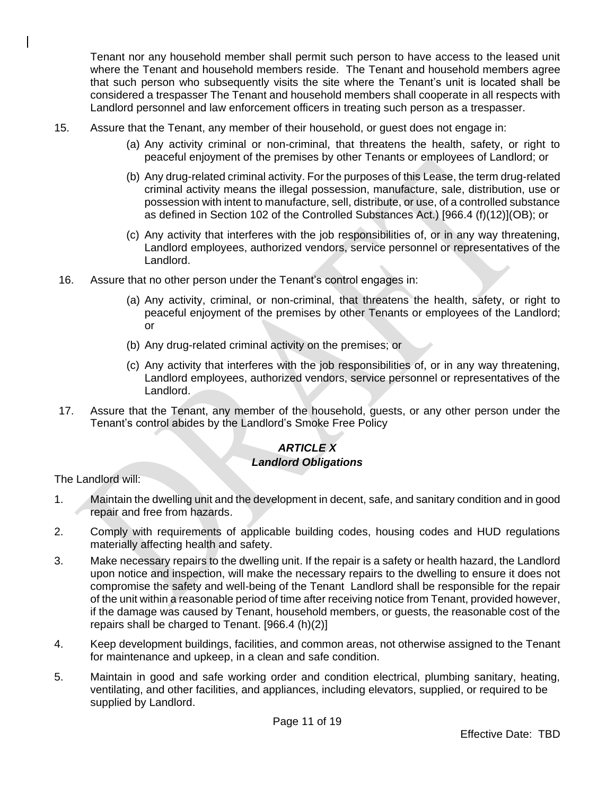Tenant nor any household member shall permit such person to have access to the leased unit where the Tenant and household members reside. The Tenant and household members agree that such person who subsequently visits the site where the Tenant's unit is located shall be considered a trespasser The Tenant and household members shall cooperate in all respects with Landlord personnel and law enforcement officers in treating such person as a trespasser.

- 15. Assure that the Tenant, any member of their household, or guest does not engage in:
	- (a) Any activity criminal or non-criminal, that threatens the health, safety, or right to peaceful enjoyment of the premises by other Tenants or employees of Landlord; or
	- (b) Any drug-related criminal activity. For the purposes of this Lease, the term drug-related criminal activity means the illegal possession, manufacture, sale, distribution, use or possession with intent to manufacture, sell, distribute, or use, of a controlled substance as defined in Section 102 of the Controlled Substances Act.) [966.4 (f)(12)](OB); or
	- (c) Any activity that interferes with the job responsibilities of, or in any way threatening, Landlord employees, authorized vendors, service personnel or representatives of the Landlord.
- 16. Assure that no other person under the Tenant's control engages in:
	- (a) Any activity, criminal, or non-criminal, that threatens the health, safety, or right to peaceful enjoyment of the premises by other Tenants or employees of the Landlord; or
	- (b) Any drug-related criminal activity on the premises; or
	- (c) Any activity that interferes with the job responsibilities of, or in any way threatening, Landlord employees, authorized vendors, service personnel or representatives of the Landlord.
- 17. Assure that the Tenant, any member of the household, guests, or any other person under the Tenant's control abides by the Landlord's Smoke Free Policy

#### *ARTICLE X Landlord Obligations*

The Landlord will:

- 1. Maintain the dwelling unit and the development in decent, safe, and sanitary condition and in good repair and free from hazards.
- 2. Comply with requirements of applicable building codes, housing codes and HUD regulations materially affecting health and safety.
- 3. Make necessary repairs to the dwelling unit. If the repair is a safety or health hazard, the Landlord upon notice and inspection, will make the necessary repairs to the dwelling to ensure it does not compromise the safety and well-being of the Tenant Landlord shall be responsible for the repair of the unit within a reasonable period of time after receiving notice from Tenant, provided however, if the damage was caused by Tenant, household members, or guests, the reasonable cost of the repairs shall be charged to Tenant. [966.4 (h)(2)]
- 4. Keep development buildings, facilities, and common areas, not otherwise assigned to the Tenant for maintenance and upkeep, in a clean and safe condition.
- 5. Maintain in good and safe working order and condition electrical, plumbing sanitary, heating, ventilating, and other facilities, and appliances, including elevators, supplied, or required to be supplied by Landlord.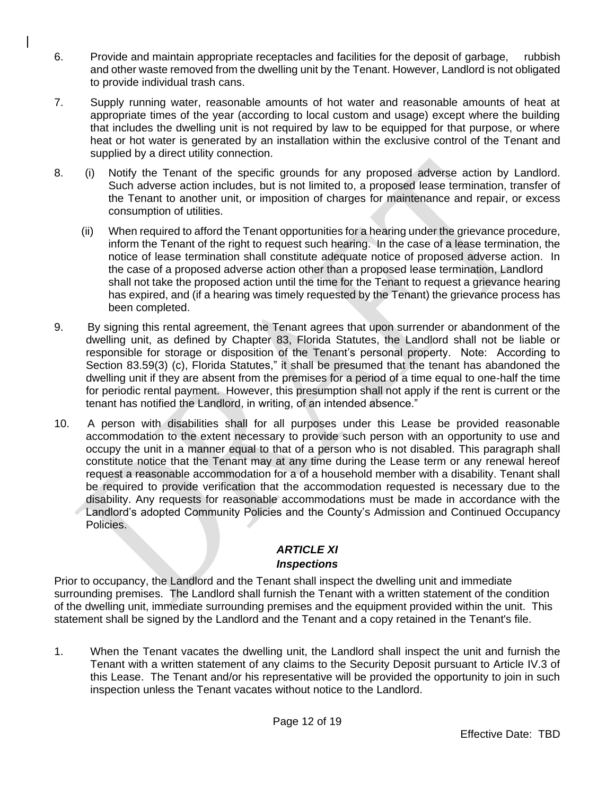- 6. Provide and maintain appropriate receptacles and facilities for the deposit of garbage, rubbish and other waste removed from the dwelling unit by the Tenant. However, Landlord is not obligated to provide individual trash cans.
- 7. Supply running water, reasonable amounts of hot water and reasonable amounts of heat at appropriate times of the year (according to local custom and usage) except where the building that includes the dwelling unit is not required by law to be equipped for that purpose, or where heat or hot water is generated by an installation within the exclusive control of the Tenant and supplied by a direct utility connection.
- 8. (i) Notify the Tenant of the specific grounds for any proposed adverse action by Landlord. Such adverse action includes, but is not limited to, a proposed lease termination, transfer of the Tenant to another unit, or imposition of charges for maintenance and repair, or excess consumption of utilities.
	- (ii) When required to afford the Tenant opportunities for a hearing under the grievance procedure, inform the Tenant of the right to request such hearing. In the case of a lease termination, the notice of lease termination shall constitute adequate notice of proposed adverse action. In the case of a proposed adverse action other than a proposed lease termination, Landlord shall not take the proposed action until the time for the Tenant to request a grievance hearing has expired, and (if a hearing was timely requested by the Tenant) the grievance process has been completed.
- 9. By signing this rental agreement, the Tenant agrees that upon surrender or abandonment of the dwelling unit, as defined by Chapter 83, Florida Statutes, the Landlord shall not be liable or responsible for storage or disposition of the Tenant's personal property. Note: According to Section 83.59(3) (c), Florida Statutes," it shall be presumed that the tenant has abandoned the dwelling unit if they are absent from the premises for a period of a time equal to one-half the time for periodic rental payment. However, this presumption shall not apply if the rent is current or the tenant has notified the Landlord, in writing, of an intended absence."
- 10. A person with disabilities shall for all purposes under this Lease be provided reasonable accommodation to the extent necessary to provide such person with an opportunity to use and occupy the unit in a manner equal to that of a person who is not disabled. This paragraph shall constitute notice that the Tenant may at any time during the Lease term or any renewal hereof request a reasonable accommodation for a of a household member with a disability. Tenant shall be required to provide verification that the accommodation requested is necessary due to the disability. Any requests for reasonable accommodations must be made in accordance with the Landlord's adopted Community Policies and the County's Admission and Continued Occupancy Policies.

# *ARTICLE XI*

# *Inspections*

Prior to occupancy, the Landlord and the Tenant shall inspect the dwelling unit and immediate surrounding premises. The Landlord shall furnish the Tenant with a written statement of the condition of the dwelling unit, immediate surrounding premises and the equipment provided within the unit. This statement shall be signed by the Landlord and the Tenant and a copy retained in the Tenant's file.

1. When the Tenant vacates the dwelling unit, the Landlord shall inspect the unit and furnish the Tenant with a written statement of any claims to the Security Deposit pursuant to Article IV.3 of this Lease. The Tenant and/or his representative will be provided the opportunity to join in such inspection unless the Tenant vacates without notice to the Landlord.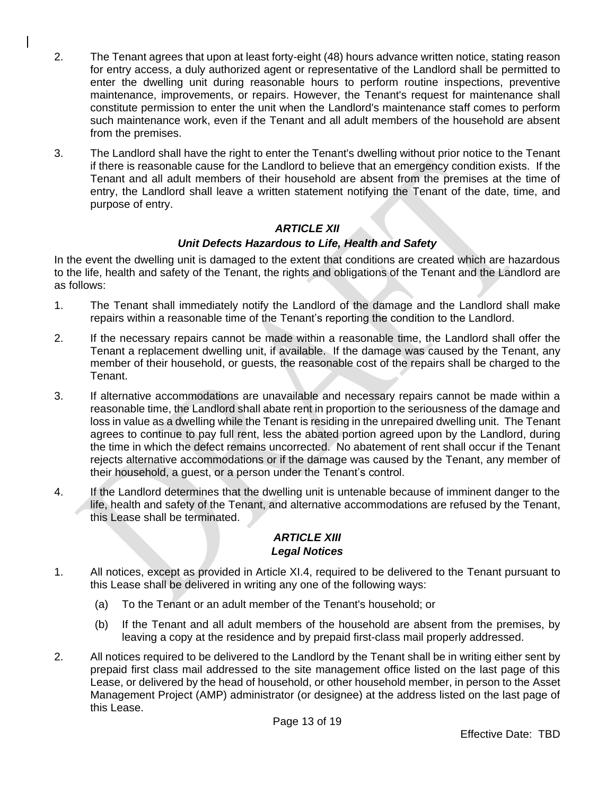- 2. The Tenant agrees that upon at least forty-eight (48) hours advance written notice, stating reason for entry access, a duly authorized agent or representative of the Landlord shall be permitted to enter the dwelling unit during reasonable hours to perform routine inspections, preventive maintenance, improvements, or repairs. However, the Tenant's request for maintenance shall constitute permission to enter the unit when the Landlord's maintenance staff comes to perform such maintenance work, even if the Tenant and all adult members of the household are absent from the premises.
- 3. The Landlord shall have the right to enter the Tenant's dwelling without prior notice to the Tenant if there is reasonable cause for the Landlord to believe that an emergency condition exists. If the Tenant and all adult members of their household are absent from the premises at the time of entry, the Landlord shall leave a written statement notifying the Tenant of the date, time, and purpose of entry.

# *ARTICLE XII*

## *Unit Defects Hazardous to Life, Health and Safety*

In the event the dwelling unit is damaged to the extent that conditions are created which are hazardous to the life, health and safety of the Tenant, the rights and obligations of the Tenant and the Landlord are as follows:

- 1. The Tenant shall immediately notify the Landlord of the damage and the Landlord shall make repairs within a reasonable time of the Tenant's reporting the condition to the Landlord.
- 2. If the necessary repairs cannot be made within a reasonable time, the Landlord shall offer the Tenant a replacement dwelling unit, if available. If the damage was caused by the Tenant, any member of their household, or guests, the reasonable cost of the repairs shall be charged to the Tenant.
- 3. If alternative accommodations are unavailable and necessary repairs cannot be made within a reasonable time, the Landlord shall abate rent in proportion to the seriousness of the damage and loss in value as a dwelling while the Tenant is residing in the unrepaired dwelling unit. The Tenant agrees to continue to pay full rent, less the abated portion agreed upon by the Landlord, during the time in which the defect remains uncorrected. No abatement of rent shall occur if the Tenant rejects alternative accommodations or if the damage was caused by the Tenant, any member of their household, a guest, or a person under the Tenant's control.
- 4. If the Landlord determines that the dwelling unit is untenable because of imminent danger to the life, health and safety of the Tenant, and alternative accommodations are refused by the Tenant, this Lease shall be terminated.

### *ARTICLE XIII Legal Notices*

- 1. All notices, except as provided in Article XI.4, required to be delivered to the Tenant pursuant to this Lease shall be delivered in writing any one of the following ways:
	- (a) To the Tenant or an adult member of the Tenant's household; or
	- (b) If the Tenant and all adult members of the household are absent from the premises, by leaving a copy at the residence and by prepaid first-class mail properly addressed.
- 2. All notices required to be delivered to the Landlord by the Tenant shall be in writing either sent by prepaid first class mail addressed to the site management office listed on the last page of this Lease, or delivered by the head of household, or other household member, in person to the Asset Management Project (AMP) administrator (or designee) at the address listed on the last page of this Lease.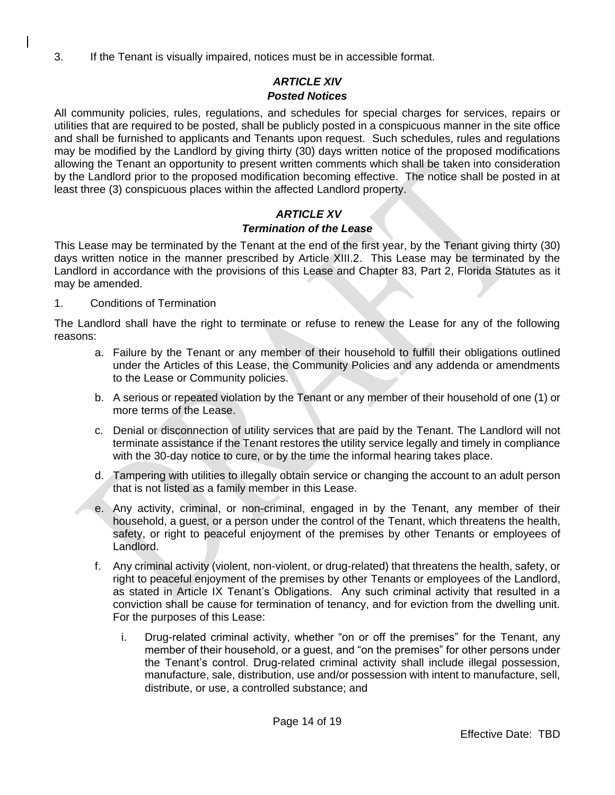3. If the Tenant is visually impaired, notices must be in accessible format.

### *ARTICLE XIV Posted Notices*

All community policies, rules, regulations, and schedules for special charges for services, repairs or utilities that are required to be posted, shall be publicly posted in a conspicuous manner in the site office and shall be furnished to applicants and Tenants upon request. Such schedules, rules and regulations may be modified by the Landlord by giving thirty (30) days written notice of the proposed modifications allowing the Tenant an opportunity to present written comments which shall be taken into consideration by the Landlord prior to the proposed modification becoming effective. The notice shall be posted in at least three (3) conspicuous places within the affected Landlord property.

# *ARTICLE XV*

# *Termination of the Lease*

This Lease may be terminated by the Tenant at the end of the first year, by the Tenant giving thirty (30) days written notice in the manner prescribed by Article XIII.2. This Lease may be terminated by the Landlord in accordance with the provisions of this Lease and Chapter 83, Part 2, Florida Statutes as it may be amended.

### 1. Conditions of Termination

The Landlord shall have the right to terminate or refuse to renew the Lease for any of the following reasons:

- a. Failure by the Tenant or any member of their household to fulfill their obligations outlined under the Articles of this Lease, the Community Policies and any addenda or amendments to the Lease or Community policies.
- b. A serious or repeated violation by the Tenant or any member of their household of one (1) or more terms of the Lease.
- c. Denial or disconnection of utility services that are paid by the Tenant. The Landlord will not terminate assistance if the Tenant restores the utility service legally and timely in compliance with the 30-day notice to cure, or by the time the informal hearing takes place.
- d. Tampering with utilities to illegally obtain service or changing the account to an adult person that is not listed as a family member in this Lease.
- e. Any activity, criminal, or non-criminal, engaged in by the Tenant, any member of their household, a guest, or a person under the control of the Tenant, which threatens the health, safety, or right to peaceful enjoyment of the premises by other Tenants or employees of Landlord.
- f. Any criminal activity (violent, non-violent, or drug-related) that threatens the health, safety, or right to peaceful enjoyment of the premises by other Tenants or employees of the Landlord, as stated in Article IX Tenant's Obligations. Any such criminal activity that resulted in a conviction shall be cause for termination of tenancy, and for eviction from the dwelling unit. For the purposes of this Lease:
	- i. Drug-related criminal activity, whether "on or off the premises" for the Tenant, any member of their household, or a guest, and "on the premises" for other persons under the Tenant's control. Drug-related criminal activity shall include illegal possession, manufacture, sale, distribution, use and/or possession with intent to manufacture, sell, distribute, or use, a controlled substance; and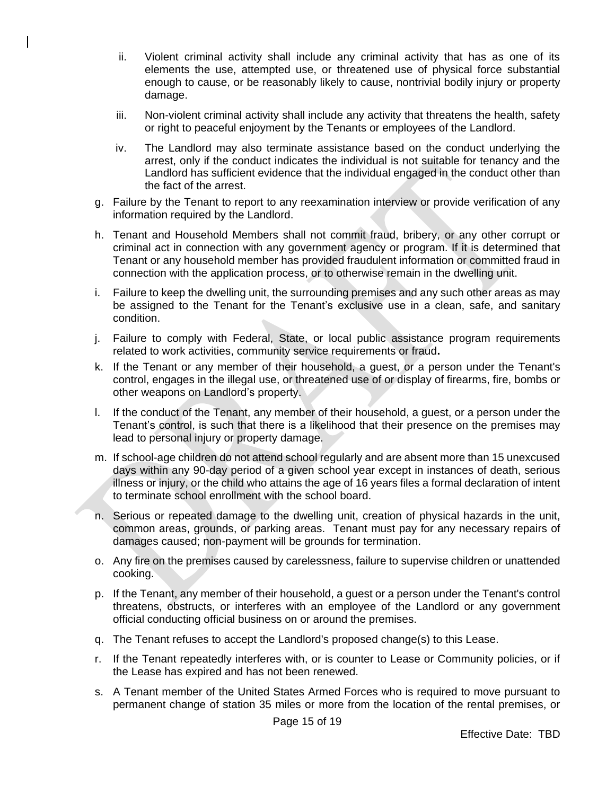- ii. Violent criminal activity shall include any criminal activity that has as one of its elements the use, attempted use, or threatened use of physical force substantial enough to cause, or be reasonably likely to cause, nontrivial bodily injury or property damage.
- iii. Non-violent criminal activity shall include any activity that threatens the health, safety or right to peaceful enjoyment by the Tenants or employees of the Landlord.
- iv. The Landlord may also terminate assistance based on the conduct underlying the arrest, only if the conduct indicates the individual is not suitable for tenancy and the Landlord has sufficient evidence that the individual engaged in the conduct other than the fact of the arrest.
- g. Failure by the Tenant to report to any reexamination interview or provide verification of any information required by the Landlord.
- h. Tenant and Household Members shall not commit fraud, bribery, or any other corrupt or criminal act in connection with any government agency or program. If it is determined that Tenant or any household member has provided fraudulent information or committed fraud in connection with the application process, or to otherwise remain in the dwelling unit.
- i. Failure to keep the dwelling unit, the surrounding premises and any such other areas as may be assigned to the Tenant for the Tenant's exclusive use in a clean, safe, and sanitary condition.
- j. Failure to comply with Federal, State, or local public assistance program requirements related to work activities, community service requirements or fraud**.**
- k. If the Tenant or any member of their household, a guest, or a person under the Tenant's control, engages in the illegal use, or threatened use of or display of firearms, fire, bombs or other weapons on Landlord's property.
- l. If the conduct of the Tenant, any member of their household, a guest, or a person under the Tenant's control, is such that there is a likelihood that their presence on the premises may lead to personal injury or property damage.
- m. If school-age children do not attend school regularly and are absent more than 15 unexcused days within any 90-day period of a given school year except in instances of death, serious illness or injury, or the child who attains the age of 16 years files a formal declaration of intent to terminate school enrollment with the school board.
- n. Serious or repeated damage to the dwelling unit, creation of physical hazards in the unit, common areas, grounds, or parking areas. Tenant must pay for any necessary repairs of damages caused; non-payment will be grounds for termination.
- o. Any fire on the premises caused by carelessness, failure to supervise children or unattended cooking.
- p. If the Tenant, any member of their household, a guest or a person under the Tenant's control threatens, obstructs, or interferes with an employee of the Landlord or any government official conducting official business on or around the premises.
- q. The Tenant refuses to accept the Landlord's proposed change(s) to this Lease.
- r. If the Tenant repeatedly interferes with, or is counter to Lease or Community policies, or if the Lease has expired and has not been renewed.
- s. A Tenant member of the United States Armed Forces who is required to move pursuant to permanent change of station 35 miles or more from the location of the rental premises, or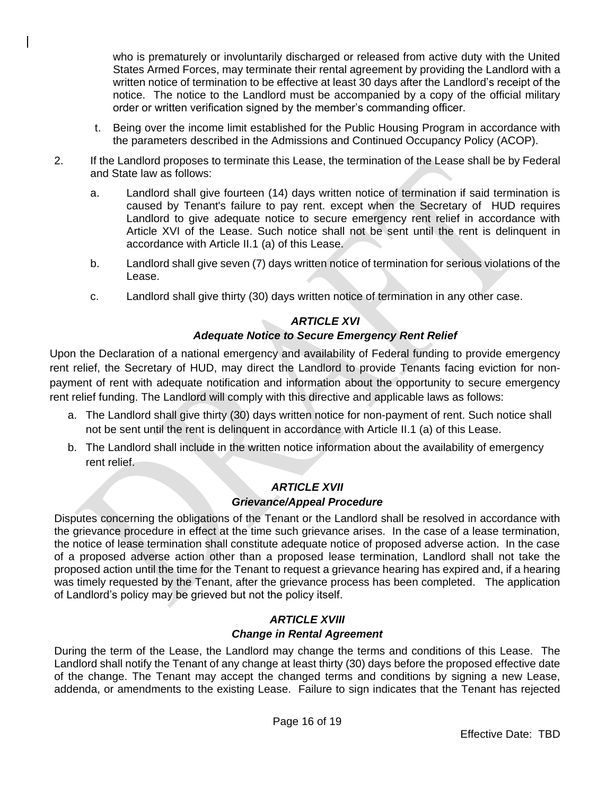who is prematurely or involuntarily discharged or released from active duty with the United States Armed Forces, may terminate their rental agreement by providing the Landlord with a written notice of termination to be effective at least 30 days after the Landlord's receipt of the notice. The notice to the Landlord must be accompanied by a copy of the official military order or written verification signed by the member's commanding officer.

- t. Being over the income limit established for the Public Housing Program in accordance with the parameters described in the Admissions and Continued Occupancy Policy (ACOP).
- 2. If the Landlord proposes to terminate this Lease, the termination of the Lease shall be by Federal and State law as follows:
	- a. Landlord shall give fourteen (14) days written notice of termination if said termination is caused by Tenant's failure to pay rent. except when the Secretary of HUD requires Landlord to give adequate notice to secure emergency rent relief in accordance with Article XVI of the Lease. Such notice shall not be sent until the rent is delinquent in accordance with Article II.1 (a) of this Lease.
	- b. Landlord shall give seven (7) days written notice of termination for serious violations of the Lease.
	- c. Landlord shall give thirty (30) days written notice of termination in any other case.

### *ARTICLE XVI*

### *Adequate Notice to Secure Emergency Rent Relief*

Upon the Declaration of a national emergency and availability of Federal funding to provide emergency rent relief, the Secretary of HUD, may direct the Landlord to provide Tenants facing eviction for nonpayment of rent with adequate notification and information about the opportunity to secure emergency rent relief funding. The Landlord will comply with this directive and applicable laws as follows:

- a. The Landlord shall give thirty (30) days written notice for non-payment of rent. Such notice shall not be sent until the rent is delinquent in accordance with Article II.1 (a) of this Lease.
- b. The Landlord shall include in the written notice information about the availability of emergency rent relief.

### *ARTICLE XVII Grievance/Appeal Procedure*

Disputes concerning the obligations of the Tenant or the Landlord shall be resolved in accordance with the grievance procedure in effect at the time such grievance arises. In the case of a lease termination, the notice of lease termination shall constitute adequate notice of proposed adverse action. In the case of a proposed adverse action other than a proposed lease termination, Landlord shall not take the proposed action until the time for the Tenant to request a grievance hearing has expired and, if a hearing was timely requested by the Tenant, after the grievance process has been completed. The application of Landlord's policy may be grieved but not the policy itself.

### *ARTICLE XVIII Change in Rental Agreement*

During the term of the Lease, the Landlord may change the terms and conditions of this Lease. The Landlord shall notify the Tenant of any change at least thirty (30) days before the proposed effective date of the change. The Tenant may accept the changed terms and conditions by signing a new Lease, addenda, or amendments to the existing Lease. Failure to sign indicates that the Tenant has rejected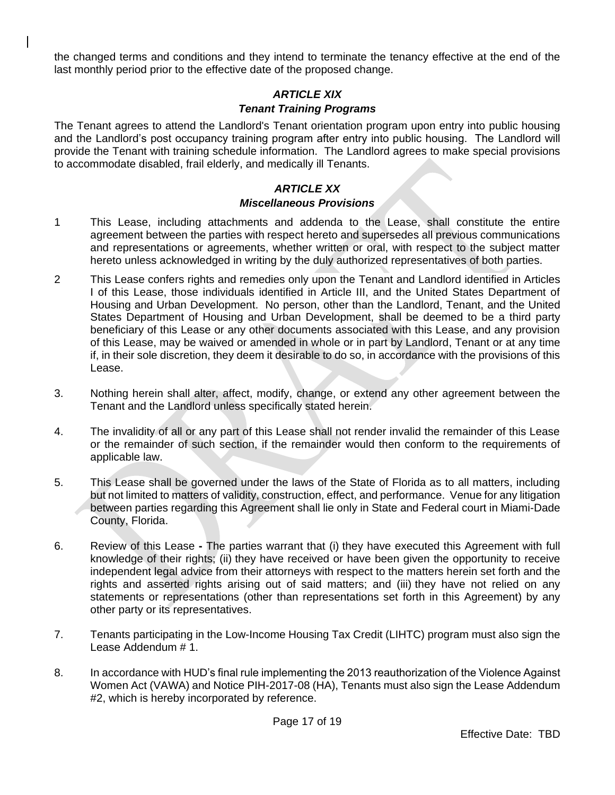the changed terms and conditions and they intend to terminate the tenancy effective at the end of the last monthly period prior to the effective date of the proposed change.

### *ARTICLE XIX Tenant Training Programs*

The Tenant agrees to attend the Landlord's Tenant orientation program upon entry into public housing and the Landlord's post occupancy training program after entry into public housing. The Landlord will provide the Tenant with training schedule information. The Landlord agrees to make special provisions to accommodate disabled, frail elderly, and medically ill Tenants.

### *ARTICLE XX Miscellaneous Provisions*

- 1 This Lease, including attachments and addenda to the Lease, shall constitute the entire agreement between the parties with respect hereto and supersedes all previous communications and representations or agreements, whether written or oral, with respect to the subject matter hereto unless acknowledged in writing by the duly authorized representatives of both parties.
- 2 This Lease confers rights and remedies only upon the Tenant and Landlord identified in Articles I of this Lease, those individuals identified in Article III, and the United States Department of Housing and Urban Development. No person, other than the Landlord, Tenant, and the United States Department of Housing and Urban Development, shall be deemed to be a third party beneficiary of this Lease or any other documents associated with this Lease, and any provision of this Lease, may be waived or amended in whole or in part by Landlord, Tenant or at any time if, in their sole discretion, they deem it desirable to do so, in accordance with the provisions of this Lease.
- 3. Nothing herein shall alter, affect, modify, change, or extend any other agreement between the Tenant and the Landlord unless specifically stated herein.
- 4. The invalidity of all or any part of this Lease shall not render invalid the remainder of this Lease or the remainder of such section, if the remainder would then conform to the requirements of applicable law.
- 5. This Lease shall be governed under the laws of the State of Florida as to all matters, including but not limited to matters of validity, construction, effect, and performance. Venue for any litigation between parties regarding this Agreement shall lie only in State and Federal court in Miami-Dade County, Florida.
- 6. Review of this Lease **-** The parties warrant that (i) they have executed this Agreement with full knowledge of their rights; (ii) they have received or have been given the opportunity to receive independent legal advice from their attorneys with respect to the matters herein set forth and the rights and asserted rights arising out of said matters; and (iii) they have not relied on any statements or representations (other than representations set forth in this Agreement) by any other party or its representatives.
- 7. Tenants participating in the Low-Income Housing Tax Credit (LIHTC) program must also sign the Lease Addendum # 1.
- 8. In accordance with HUD's final rule implementing the 2013 reauthorization of the Violence Against Women Act (VAWA) and Notice PIH-2017-08 (HA), Tenants must also sign the Lease Addendum #2, which is hereby incorporated by reference.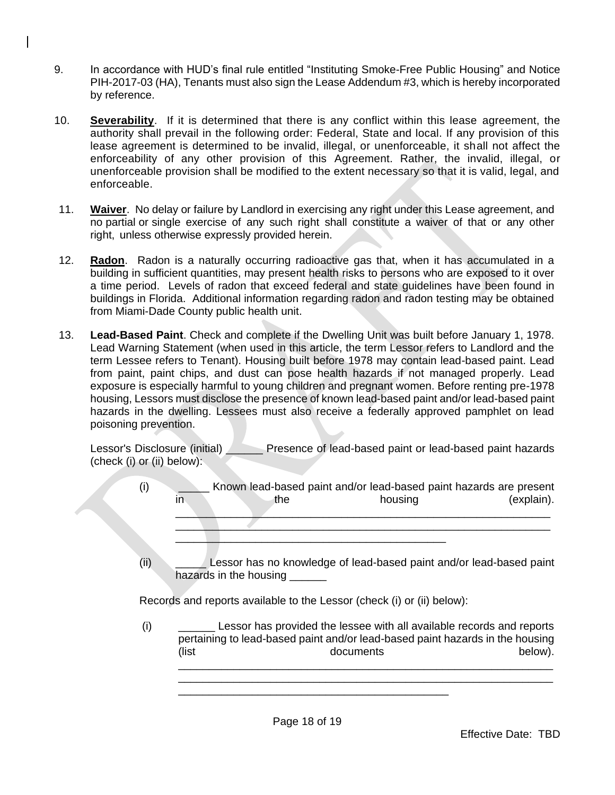- 9. In accordance with HUD's final rule entitled "Instituting Smoke-Free Public Housing" and Notice PIH-2017-03 (HA), Tenants must also sign the Lease Addendum #3, which is hereby incorporated by reference.
- 10. **Severability**. If it is determined that there is any conflict within this lease agreement, the authority shall prevail in the following order: Federal, State and local. If any provision of this lease agreement is determined to be invalid, illegal, or unenforceable, it shall not affect the enforceability of any other provision of this Agreement. Rather, the invalid, illegal, or unenforceable provision shall be modified to the extent necessary so that it is valid, legal, and enforceable.
- 11. **Waiver**. No delay or failure by Landlord in exercising any right under this Lease agreement, and no partial or single exercise of any such right shall constitute a waiver of that or any other right, unless otherwise expressly provided herein.
- 12. **Radon**. Radon is a naturally occurring radioactive gas that, when it has accumulated in a building in sufficient quantities, may present health risks to persons who are exposed to it over a time period. Levels of radon that exceed federal and state guidelines have been found in buildings in Florida. Additional information regarding radon and radon testing may be obtained from Miami-Dade County public health unit.
- 13. **Lead-Based Paint**. Check and complete if the Dwelling Unit was built before January 1, 1978. Lead Warning Statement (when used in this article, the term Lessor refers to Landlord and the term Lessee refers to Tenant). Housing built before 1978 may contain lead-based paint. Lead from paint, paint chips, and dust can pose health hazards if not managed properly. Lead exposure is especially harmful to young children and pregnant women. Before renting pre-1978 housing, Lessors must disclose the presence of known lead-based paint and/or lead-based paint hazards in the dwelling. Lessees must also receive a federally approved pamphlet on lead poisoning prevention.

Lessor's Disclosure (initial) Presence of lead-based paint or lead-based paint hazards (check (i) or (ii) below):

- (i) \_\_\_\_\_ Known lead-based paint and/or lead-based paint hazards are present in the the housing (explain).  $\mathcal{L}=\{x_1,\ldots,x_n\}$  , where  $\mathcal{L}=\{x_1,\ldots,x_n\}$  , we are the set of  $x_1,\ldots,x_n$  , we are the set of  $x_1,\ldots,x_n$  $\overline{\phantom{a}}$  ,  $\overline{\phantom{a}}$  ,  $\overline{\phantom{a}}$  ,  $\overline{\phantom{a}}$  ,  $\overline{\phantom{a}}$  ,  $\overline{\phantom{a}}$  ,  $\overline{\phantom{a}}$  ,  $\overline{\phantom{a}}$  ,  $\overline{\phantom{a}}$  ,  $\overline{\phantom{a}}$  ,  $\overline{\phantom{a}}$  ,  $\overline{\phantom{a}}$  ,  $\overline{\phantom{a}}$  ,  $\overline{\phantom{a}}$  ,  $\overline{\phantom{a}}$  ,  $\overline{\phantom{a}}$ 
	- (ii) \_\_\_\_\_ Lessor has no knowledge of lead-based paint and/or lead-based paint hazards in the housing

Records and reports available to the Lessor (check (i) or (ii) below):

\_\_\_\_\_\_\_\_\_\_\_\_\_\_\_\_\_\_\_\_\_\_\_\_\_\_\_\_\_\_\_\_\_\_\_\_\_\_\_\_\_\_\_\_

(i) \_\_\_\_\_\_ Lessor has provided the lessee with all available records and reports pertaining to lead-based paint and/or lead-based paint hazards in the housing (list documents below). \_\_\_\_\_\_\_\_\_\_\_\_\_\_\_\_\_\_\_\_\_\_\_\_\_\_\_\_\_\_\_\_\_\_\_\_\_\_\_\_\_\_\_\_\_\_\_\_\_\_\_\_\_\_\_\_\_\_\_\_\_

\_\_\_\_\_\_\_\_\_\_\_\_\_\_\_\_\_\_\_\_\_\_\_\_\_\_\_\_\_\_\_\_\_\_\_\_\_\_\_\_\_\_\_\_\_\_\_\_\_\_\_\_\_\_\_\_\_\_\_\_\_

\_\_\_\_\_\_\_\_\_\_\_\_\_\_\_\_\_\_\_\_\_\_\_\_\_\_\_\_\_\_\_\_\_\_\_\_\_\_\_\_\_\_\_\_